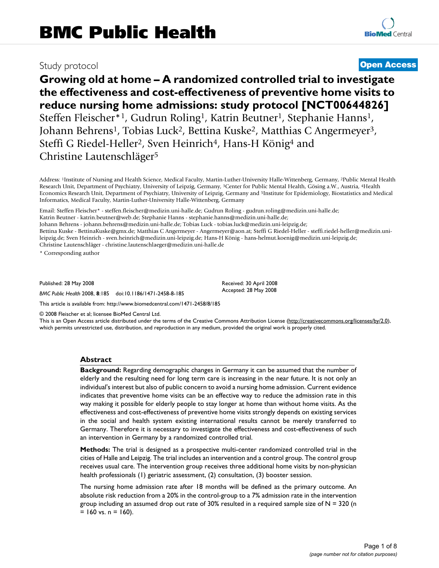# Study protocol **[Open Access](http://www.biomedcentral.com/info/about/charter/)**

**Growing old at home – A randomized controlled trial to investigate the effectiveness and cost-effectiveness of preventive home visits to reduce nursing home admissions: study protocol [NCT00644826]** Steffen Fleischer\*<sup>1</sup>, Gudrun Roling<sup>1</sup>, Katrin Beutner<sup>1</sup>, Stephanie Hanns<sup>1</sup>, Johann Behrens1, Tobias Luck2, Bettina Kuske2, Matthias C Angermeyer3, Steffi G Riedel-Heller<sup>2</sup>, Sven Heinrich<sup>4</sup>, Hans-H König<sup>4</sup> and Christine Lautenschläger5

Address: 1Institute of Nursing and Health Science, Medical Faculty, Martin-Luther-University Halle-Wittenberg, Germany, 2Public Mental Health Research Unit, Department of Psychiatry, University of Leipzig, Germany, 3Center for Public Mental Health, Gösing a.W., Austria, 4Health Economics Research Unit, Department of Psychiatry, University of Leipzig, Germany and 5Institute for Epidemiology, Biostatistics and Medical Informatics, Medical Faculty, Martin-Luther-University Halle-Wittenberg, Germany

Email: Steffen Fleischer\* - steffen.fleischer@medizin.uni-halle.de; Gudrun Roling - gudrun.roling@medizin.uni-halle.de;

Katrin Beutner - katrin.beutner@web.de; Stephanie Hanns - stephanie.hanns@medizin.uni-halle.de;

Johann Behrens - johann.behrens@medizin.uni-halle.de; Tobias Luck - tobias.luck@medizin.uni-leipzig.de;

Bettina Kuske - BettinaKuske@gmx.de; Matthias C Angermeyer - Angermeyer@aon.at; Steffi G Riedel-Heller - steffi.riedel-heller@medizin.unileipzig.de; Sven Heinrich - sven.heinrich@medizin.uni-leipzig.de; Hans-H König - hans-helmut.koenig@medizin.uni-leipzig.de; Christine Lautenschläger - christine.lautenschlaeger@medizin.uni-halle.de

\* Corresponding author

Published: 28 May 2008

*BMC Public Health* 2008, **8**:185 doi:10.1186/1471-2458-8-185

[This article is available from: http://www.biomedcentral.com/1471-2458/8/185](http://www.biomedcentral.com/1471-2458/8/185)

© 2008 Fleischer et al; licensee BioMed Central Ltd.

This is an Open Access article distributed under the terms of the Creative Commons Attribution License [\(http://creativecommons.org/licenses/by/2.0\)](http://creativecommons.org/licenses/by/2.0), which permits unrestricted use, distribution, and reproduction in any medium, provided the original work is properly cited.

Received: 30 April 2008 Accepted: 28 May 2008

#### **Abstract**

**Background:** Regarding demographic changes in Germany it can be assumed that the number of elderly and the resulting need for long term care is increasing in the near future. It is not only an individual's interest but also of public concern to avoid a nursing home admission. Current evidence indicates that preventive home visits can be an effective way to reduce the admission rate in this way making it possible for elderly people to stay longer at home than without home visits. As the effectiveness and cost-effectiveness of preventive home visits strongly depends on existing services in the social and health system existing international results cannot be merely transferred to Germany. Therefore it is necessary to investigate the effectiveness and cost-effectiveness of such an intervention in Germany by a randomized controlled trial.

**Methods:** The trial is designed as a prospective multi-center randomized controlled trial in the cities of Halle and Leipzig. The trial includes an intervention and a control group. The control group receives usual care. The intervention group receives three additional home visits by non-physician health professionals (1) geriatric assessment, (2) consultation, (3) booster session.

The nursing home admission rate after 18 months will be defined as the primary outcome. An absolute risk reduction from a 20% in the control-group to a 7% admission rate in the intervention group including an assumed drop out rate of 30% resulted in a required sample size of  $N = 320$  (n  $= 160$  vs. n = 160).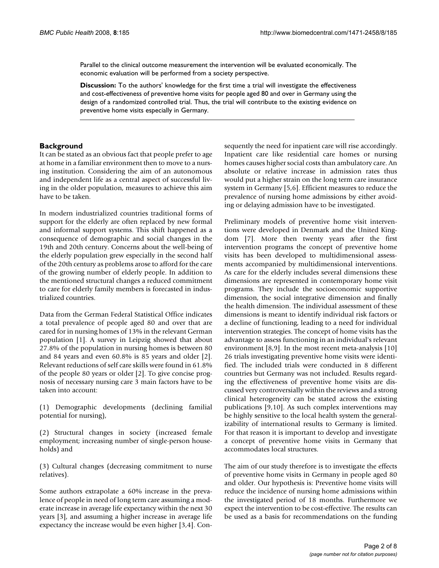Parallel to the clinical outcome measurement the intervention will be evaluated economically. The economic evaluation will be performed from a society perspective.

**Discussion:** To the authors' knowledge for the first time a trial will investigate the effectiveness and cost-effectiveness of preventive home visits for people aged 80 and over in Germany using the design of a randomized controlled trial. Thus, the trial will contribute to the existing evidence on preventive home visits especially in Germany.

## **Background**

It can be stated as an obvious fact that people prefer to age at home in a familiar environment then to move to a nursing institution. Considering the aim of an autonomous and independent life as a central aspect of successful living in the older population, measures to achieve this aim have to be taken.

In modern industrialized countries traditional forms of support for the elderly are often replaced by new formal and informal support systems. This shift happened as a consequence of demographic and social changes in the 19th and 20th century. Concerns about the well-being of the elderly population grew especially in the second half of the 20th century as problems arose to afford for the care of the growing number of elderly people. In addition to the mentioned structural changes a reduced commitment to care for elderly family members is forecasted in industrialized countries.

Data from the German Federal Statistical Office indicates a total prevalence of people aged 80 and over that are cared for in nursing homes of 13% in the relevant German population [\[1](#page-6-0)]. A survey in Leipzig showed that about 27.8% of the population in nursing homes is between 80 and 84 years and even 60.8% is 85 years and older [[2](#page-6-1)]. Relevant reductions of self care skills were found in 61.8% of the people 80 years or older [\[2\]](#page-6-1). To give concise prognosis of necessary nursing care 3 main factors have to be taken into account:

(1) Demographic developments (declining familial potential for nursing),

(2) Structural changes in society (increased female employment; increasing number of single-person households) and

(3) Cultural changes (decreasing commitment to nurse relatives).

Some authors extrapolate a 60% increase in the prevalence of people in need of long term care assuming a moderate increase in average life expectancy within the next 30 years [\[3](#page-6-2)], and assuming a higher increase in average life expectancy the increase would be even higher [\[3](#page-6-2)[,4](#page-6-3)]. Consequently the need for inpatient care will rise accordingly. Inpatient care like residential care homes or nursing homes causes higher social costs than ambulatory care. An absolute or relative increase in admission rates thus would put a higher strain on the long term care insurance system in Germany [[5](#page-6-4),[6\]](#page-6-5). Efficient measures to reduce the prevalence of nursing home admissions by either avoiding or delaying admission have to be investigated.

Preliminary models of preventive home visit interventions were developed in Denmark and the United Kingdom [[7](#page-6-6)]. More then twenty years after the first intervention programs the concept of preventive home visits has been developed to multidimensional assessments accompanied by multidimensional interventions. As care for the elderly includes several dimensions these dimensions are represented in contemporary home visit programs. They include the socioeconomic supportive dimension, the social integrative dimension and finally the health dimension. The individual assessment of these dimensions is meant to identify individual risk factors or a decline of functioning, leading to a need for individual intervention strategies. The concept of home visits has the advantage to assess functioning in an individual's relevant environment [[8](#page-6-7),[9](#page-7-0)]. In the most recent meta-analysis [[10\]](#page-7-1) 26 trials investigating preventive home visits were identified. The included trials were conducted in 8 different countries but Germany was not included. Results regarding the effectiveness of preventive home visits are discussed very controversially within the reviews and a strong clinical heterogeneity can be stated across the existing publications [[9,](#page-7-0)[10](#page-7-1)]. As such complex interventions may be highly sensitive to the local health system the generalizability of international results to Germany is limited. For that reason it is important to develop and investigate a concept of preventive home visits in Germany that accommodates local structures.

The aim of our study therefore is to investigate the effects of preventive home visits in Germany in people aged 80 and older. Our hypothesis is: Preventive home visits will reduce the incidence of nursing home admissions within the investigated period of 18 months. Furthermore we expect the intervention to be cost-effective. The results can be used as a basis for recommendations on the funding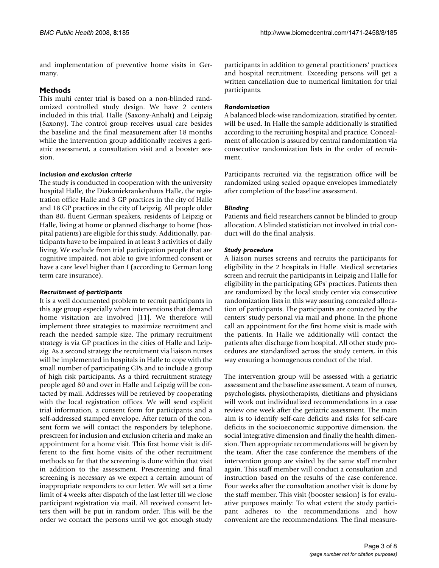and implementation of preventive home visits in Germany.

## **Methods**

This multi center trial is based on a non-blinded randomized controlled study design. We have 2 centers included in this trial, Halle (Saxony-Anhalt) and Leipzig (Saxony). The control group receives usual care besides the baseline and the final measurement after 18 months while the intervention group additionally receives a geriatric assessment, a consultation visit and a booster session.

#### *Inclusion and exclusion criteria*

The study is conducted in cooperation with the university hospital Halle, the Diakoniekrankenhaus Halle, the registration office Halle and 3 GP practices in the city of Halle and 18 GP practices in the city of Leipzig. All people older than 80, fluent German speakers, residents of Leipzig or Halle, living at home or planned discharge to home (hospital patients) are eligible for this study. Additionally, participants have to be impaired in at least 3 activities of daily living. We exclude from trial participation people that are cognitive impaired, not able to give informed consent or have a care level higher than I (according to German long term care insurance).

## *Recruitment of participants*

It is a well documented problem to recruit participants in this age group especially when interventions that demand home visitation are involved [[11](#page-7-2)]. We therefore will implement three strategies to maximize recruitment and reach the needed sample size. The primary recruitment strategy is via GP practices in the cities of Halle and Leipzig. As a second strategy the recruitment via liaison nurses will be implemented in hospitals in Halle to cope with the small number of participating GPs and to include a group of high risk participants. As a third recruitment strategy people aged 80 and over in Halle and Leipzig will be contacted by mail. Addresses will be retrieved by cooperating with the local registration offices. We will send explicit trial information, a consent form for participants and a self-addressed stamped envelope. After return of the consent form we will contact the responders by telephone, prescreen for inclusion and exclusion criteria and make an appointment for a home visit. This first home visit is different to the first home visits of the other recruitment methods so far that the screening is done within that visit in addition to the assessment. Prescreening and final screening is necessary as we expect a certain amount of inappropriate responders to our letter. We will set a time limit of 4 weeks after dispatch of the last letter till we close participant registration via mail. All received consent letters then will be put in random order. This will be the order we contact the persons until we got enough study participants in addition to general practitioners' practices and hospital recruitment. Exceeding persons will get a written cancellation due to numerical limitation for trial participants.

## *Randomization*

A balanced block-wise randomization, stratified by center, will be used. In Halle the sample additionally is stratified according to the recruiting hospital and practice. Concealment of allocation is assured by central randomization via consecutive randomization lists in the order of recruitment.

Participants recruited via the registration office will be randomized using sealed opaque envelopes immediately after completion of the baseline assessment.

## *Blinding*

Patients and field researchers cannot be blinded to group allocation. A blinded statistician not involved in trial conduct will do the final analysis.

#### *Study procedure*

A liaison nurses screens and recruits the participants for eligibility in the 2 hospitals in Halle. Medical secretaries screen and recruit the participants in Leipzig and Halle for eligibility in the participating GPs' practices. Patients then are randomized by the local study center via consecutive randomization lists in this way assuring concealed allocation of participants. The participants are contacted by the centers' study personal via mail and phone. In the phone call an appointment for the first home visit is made with the patients. In Halle we additionally will contact the patients after discharge from hospital. All other study procedures are standardized across the study centers, in this way ensuring a homogenous conduct of the trial.

The intervention group will be assessed with a geriatric assessment and the baseline assessment. A team of nurses, psychologists, physiotherapists, dietitians and physicians will work out individualized recommendations in a case review one week after the geriatric assessment. The main aim is to identify self-care deficits and risks for self-care deficits in the socioeconomic supportive dimension, the social integrative dimension and finally the health dimension. Then appropriate recommendations will be given by the team. After the case conference the members of the intervention group are visited by the same staff member again. This staff member will conduct a consultation and instruction based on the results of the case conference. Four weeks after the consultation another visit is done by the staff member. This visit (booster session) is for evaluative purposes mainly: To what extent the study participant adheres to the recommendations and how convenient are the recommendations. The final measure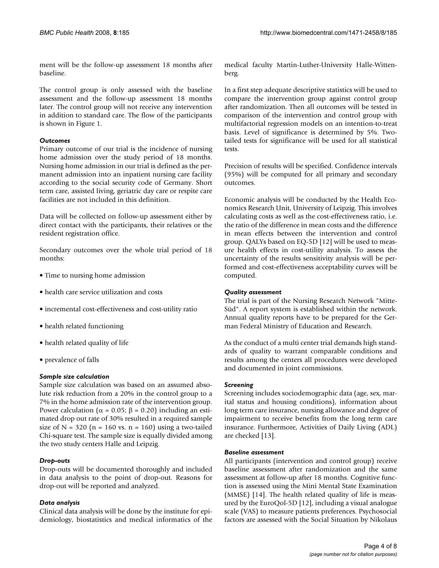ment will be the follow-up assessment 18 months after baseline.

The control group is only assessed with the baseline assessment and the follow-up assessment 18 months later. The control group will not receive any intervention in addition to standard care. The flow of the participants is shown in Figure [1](#page-4-0).

## *Outcomes*

Primary outcome of our trial is the incidence of nursing home admission over the study period of 18 months. Nursing home admission in our trial is defined as the permanent admission into an inpatient nursing care facility according to the social security code of Germany. Short term care, assisted living, geriatric day care or respite care facilities are not included in this definition.

Data will be collected on follow-up assessment either by direct contact with the participants, their relatives or the resident registration office.

Secondary outcomes over the whole trial period of 18 months:

- Time to nursing home admission
- health care service utilization and costs
- incremental cost-effectiveness and cost-utility ratio
- health related functioning
- health related quality of life
- prevalence of falls

## *Sample size calculation*

Sample size calculation was based on an assumed absolute risk reduction from a 20% in the control group to a 7% in the home admission rate of the intervention group. Power calculation ( $\alpha$  = 0.05;  $\beta$  = 0.20) including an estimated drop out rate of 30% resulted in a required sample size of  $N = 320$  (n = 160 vs. n = 160) using a two-tailed Chi-square test. The sample size is equally divided among the two study centers Halle and Leipzig.

## *Drop-outs*

Drop-outs will be documented thoroughly and included in data analysis to the point of drop-out. Reasons for drop-out will be reported and analyzed.

## *Data analysis*

Clinical data analysis will be done by the institute for epidemiology, biostatistics and medical informatics of the medical faculty Martin-Luther-University Halle-Wittenberg.

In a first step adequate descriptive statistics will be used to compare the intervention group against control group after randomization. Then all outcomes will be tested in comparison of the intervention and control group with multifactorial regression models on an intention-to-treat basis. Level of significance is determined by 5%. Twotailed tests for significance will be used for all statistical tests.

Precision of results will be specified. Confidence intervals (95%) will be computed for all primary and secondary outcomes.

Economic analysis will be conducted by the Health Economics Research Unit, University of Leipzig. This involves calculating costs as well as the cost-effectiveness ratio, i.e. the ratio of the difference in mean costs and the difference in mean effects between the intervention and control group. QALYs based on EQ-5D [\[12](#page-7-3)] will be used to measure health effects in cost-utility analysis. To assess the uncertainty of the results sensitivity analysis will be performed and cost-effectiveness acceptability curves will be computed.

## *Quality assessment*

The trial is part of the Nursing Research Network "Mitte-Süd". A report system is established within the network. Annual quality reports have to be prepared for the German Federal Ministry of Education and Research.

As the conduct of a multi center trial demands high standards of quality to warrant comparable conditions and results among the centers all procedures were developed and documented in joint commissions.

## *Screening*

Screening includes sociodemographic data (age, sex, marital status and housing conditions), information about long term care insurance, nursing allowance and degree of impairment to receive benefits from the long term care insurance. Furthermore, Activities of Daily Living (ADL) are checked [[13\]](#page-7-4).

#### *Baseline assessment*

All participants (intervention and control group) receive baseline assessment after randomization and the same assessment at follow-up after 18 months. Cognitive function is assessed using the Mini Mental State Examination (MMSE) [[14](#page-7-5)]. The health related quality of life is measured by the EuroQol-5D [[12](#page-7-3)], including a visual analogue scale (VAS) to measure patients preferences. Psychosocial factors are assessed with the Social Situation by Nikolaus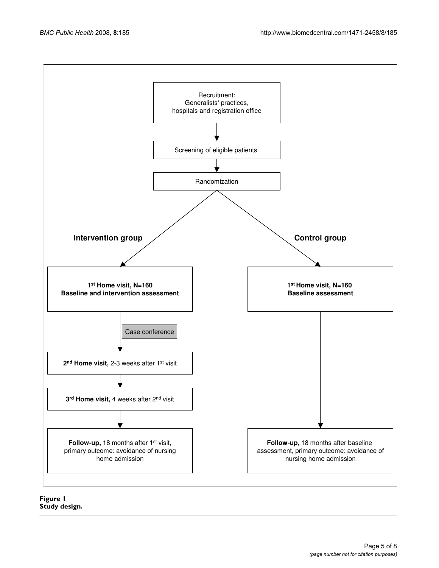<span id="page-4-0"></span>

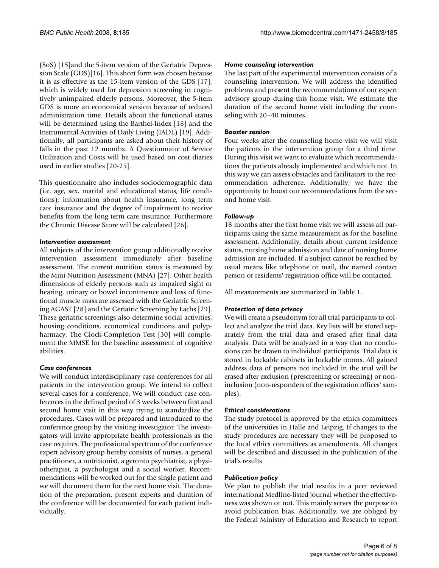(SoS) [[15](#page-7-6)]and the 5-item version of the Geriatric Depression Scale (GDS)[\[16](#page-7-7)]. This short form was chosen because it is as effective as the 15-item version of the GDS [\[17](#page-7-8)], which is widely used for depression screening in cognitively unimpaired elderly persons. Moreover, the 5-item GDS is more an economical version because of reduced administration time. Details about the functional status will be determined using the Barthel-Index [[18\]](#page-7-9) and the Instrumental Activities of Daily Living (IADL) [\[19](#page-7-10)]. Additionally, all participants are asked about their history of falls in the past 12 months. A Questionnaire of Service Utilization and Costs will be used based on cost diaries used in earlier studies [\[20](#page-7-11)[-25](#page-7-12)].

This questionnaire also includes sociodemographic data (i.e. age, sex, marital and educational status, life conditions); information about health insurance, long term care insurance and the degree of impairment to receive benefits from the long term care insurance. Furthermore the Chronic Disease Score will be calculated [\[26](#page-7-13)].

#### *Intervention assessment*

All subjects of the intervention group additionally receive intervention assessment immediately after baseline assessment. The current nutrition status is measured by the Mini Nutrition Assessment (MNA) [[27\]](#page-7-14). Other health dimensions of elderly persons such as impaired sight or hearing, urinary or bowel incontinence and loss of functional muscle mass are assessed with the Geriatric Screening AGAST [\[28\]](#page-7-15) and the Geriatric Screening by Lachs [\[29](#page-7-16)]. These geriatric screenings also determine social activities, housing conditions, economical conditions and polypharmacy. The Clock-Completion Test [[30](#page-7-17)] will complement the MMSE for the baseline assessment of cognitive abilities.

## *Case conferences*

We will conduct interdisciplinary case conferences for all patients in the intervention group. We intend to collect several cases for a conference. We will conduct case conferences in the defined period of 3 weeks between first and second home visit in this way trying to standardize the procedures. Cases will be prepared and introduced to the conference group by the visiting investigator. The investigators will invite appropriate health professionals as the case requires. The professional spectrum of the conference expert advisory group hereby consists of nurses, a general practitioner, a nutritionist, a geronto psychiatrist, a physiotherapist, a psychologist and a social worker. Recommendations will be worked out for the single patient and we will document them for the next home visit. The duration of the preparation, present experts and duration of the conference will be documented for each patient individually.

#### *Home counseling intervention*

The last part of the experimental intervention consists of a counseling intervention. We will address the identified problems and present the recommendations of our expert advisory group during this home visit. We estimate the duration of the second home visit including the counseling with 20–40 minutes.

#### *Booster session*

Four weeks after the counseling home visit we will visit the patients in the intervention group for a third time. During this visit we want to evaluate which recommendations the patients already implemented and which not. In this way we can assess obstacles and facilitators to the recommendation adherence. Additionally, we have the opportunity to boost our recommendations from the second home visit.

#### *Follow-up*

18 months after the first home visit we will assess all participants using the same measurement as for the baseline assessment. Additionally, details about current residence status, nursing home admission and date of nursing home admission are included. If a subject cannot be reached by usual means like telephone or mail, the named contact person or residents' registration office will be contacted.

All measurements are summarized in Table [1.](#page-6-8)

## *Protection of data privacy*

We will create a pseudonym for all trial participants to collect and analyze the trial data. Key lists will be stored separately from the trial data and erased after final data analysis. Data will be analyzed in a way that no conclusions can be drawn to individual participants. Trial data is stored in lockable cabinets in lockable rooms. All gained address data of persons not included in the trial will be erased after exclusion (prescreening or screening) or noninclusion (non-responders of the registration offices' samples).

#### *Ethical considerations*

The study protocol is approved by the ethics committees of the universities in Halle and Leipzig. If changes to the study procedures are necessary they will be proposed to the local ethics committees as amendments. All changes will be described and discussed in the publication of the trial's results.

#### *Publication policy*

We plan to publish the trial results in a peer reviewed international Medline-listed journal whether the effectiveness was shown or not. This mainly serves the purpose to avoid publication bias. Additionally, we are obliged by the Federal Ministry of Education and Research to report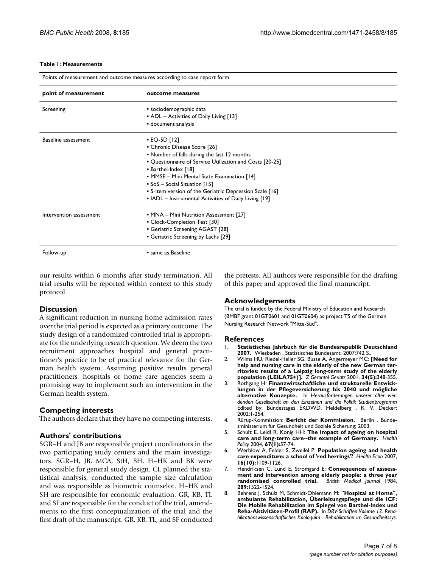#### <span id="page-6-8"></span>**Table 1: Measurements**

| Points of measurement and outcome measures according to case report form |                                                          |
|--------------------------------------------------------------------------|----------------------------------------------------------|
| point of measurement                                                     | outcome measures                                         |
| Screening                                                                | • sociodemographic data                                  |
|                                                                          | • ADL - Activities of Daily Living [13]                  |
|                                                                          | • document analysis                                      |
| Baseline assessment                                                      | $\cdot$ EQ-5D [12]                                       |
|                                                                          | • Chronic Disease Score [26]                             |
|                                                                          | • Number of falls during the last 12 months              |
|                                                                          | • Questionnaire of Service Utilization and Costs [20-25] |
|                                                                          | • Barthel-Index [18]                                     |
|                                                                          | • MMSE - Mini Mental State Examination [14]              |
|                                                                          | • SoS – Social Situation [15]                            |
|                                                                          | • 5-item version of the Geriatric Depression Scale [16]  |
|                                                                          | • IADL - Instrumental Activities of Daily Living [19]    |
| Intervention assessment                                                  | • MNA - Mini Nutrition Assessment [27]                   |
|                                                                          | • Clock-Completion Test [30]                             |
|                                                                          | • Geriatric Screening AGAST [28]                         |
|                                                                          | • Geriatric Screening by Lachs [29]                      |
| Follow-up                                                                | • same as Baseline                                       |

our results within 6 months after study termination. All trial results will be reported within context to this study protocol.

#### **Discussion**

A significant reduction in nursing home admission rates over the trial period is expected as a primary outcome. The study design of a randomized controlled trial is appropriate for the underlying research question. We deem the two recruitment approaches hospital and general practitioner's practice to be of practical relevance for the German health system. Assuming positive results general practitioners, hospitals or home care agencies seem a promising way to implement such an intervention in the German health system.

#### **Competing interests**

The authors declare that they have no competing interests.

#### **Authors' contributions**

SGR–H and JB are responsible project coordinators in the two participating study centers and the main investigators. SGR–H, JB, MCA, StH, SH, H–HK and BK were responsible for general study design. CL planned the statistical analysis, conducted the sample size calculation and was responsible as biometric counselor. H–HK and SH are responsible for economic evaluation. GR, KB, TL and SF are responsible for the conduct of the trial, amendments to the first conceptualization of the trial and the first draft of the manuscript. GR, KB, TL, and SF conducted

the pretests. All authors were responsible for the drafting of this paper and approved the final manuscript.

#### **Acknowledgements**

The trial is funded by the Federal Ministry of Education and Research (BMBF grant 01GT0601 and 01GT0604) as project T5 of the German Nursing Research Network "Mitte-Süd".

#### **References**

- <span id="page-6-0"></span>1. **Statistisches Jahrbuch für die Bundesrepublik Deutschland 2007.** Wiesbaden , Statistisches Bundesamt; 2007:742 S..
- <span id="page-6-1"></span>2. Wilms HU, Riedel-Heller SG, Busse A, Angermeyer MC: **[\[Need for](http://www.ncbi.nlm.nih.gov/entrez/query.fcgi?cmd=Retrieve&db=PubMed&dopt=Abstract&list_uids=11718097) [help and nursing care in the elderly of the new German ter](http://www.ncbi.nlm.nih.gov/entrez/query.fcgi?cmd=Retrieve&db=PubMed&dopt=Abstract&list_uids=11718097)ritories: results of a Leipzig long-term study of the elderly [population \(LEILA75+\)\].](http://www.ncbi.nlm.nih.gov/entrez/query.fcgi?cmd=Retrieve&db=PubMed&dopt=Abstract&list_uids=11718097)** *Z Gerontol Geriatr* 2001, **34(5):**348-355.
- <span id="page-6-2"></span>3. Rothgang H: **Finanzwirtschaftliche und strukturelle Entwicklungen in der Pflegeversicherung bis 2040 und mögliche alternative Konzepte.** In *Herausforderungen unserer älter werdenden Gesellschaft an den Einzelnen und die Politik Studienprogramm* Edited by: Bundestages EKDWD. Heidelberg , R. V. Decker; 2002:1-254.
- <span id="page-6-3"></span>4. Rürup-Kommission: **Bericht der Kommission.** Berlin , Bundesministerium für Gesundheit und Soziale Sicherung; 2003.
- <span id="page-6-4"></span>5. Schulz E, Leidl R, Konig HH: **[The impact of ageing on hospital](http://www.ncbi.nlm.nih.gov/entrez/query.fcgi?cmd=Retrieve&db=PubMed&dopt=Abstract&list_uids=14726007) [care and long-term care--the example of Germany.](http://www.ncbi.nlm.nih.gov/entrez/query.fcgi?cmd=Retrieve&db=PubMed&dopt=Abstract&list_uids=14726007)** *Health Policy* 2004, **67(1):**57-74.
- <span id="page-6-5"></span>6. Werblow A, Felder S, Zweifel P: **[Population ageing and health](http://www.ncbi.nlm.nih.gov/entrez/query.fcgi?cmd=Retrieve&db=PubMed&dopt=Abstract&list_uids=17311357) [care expenditure: a school of 'red herrings'?](http://www.ncbi.nlm.nih.gov/entrez/query.fcgi?cmd=Retrieve&db=PubMed&dopt=Abstract&list_uids=17311357)** *Health Econ* 2007, **16(10):**1109-1126.
- <span id="page-6-6"></span>7. Hendriksen C, Lund E, Stromgard E: **[Consequences of asssess](http://www.ncbi.nlm.nih.gov/entrez/query.fcgi?cmd=Retrieve&db=PubMed&dopt=Abstract&list_uids=6439298)[ment and intervention among elderly people: a three year](http://www.ncbi.nlm.nih.gov/entrez/query.fcgi?cmd=Retrieve&db=PubMed&dopt=Abstract&list_uids=6439298) [randomised controlled trial.](http://www.ncbi.nlm.nih.gov/entrez/query.fcgi?cmd=Retrieve&db=PubMed&dopt=Abstract&list_uids=6439298)** *British Medical Journal* 1984, **289:**1522-1524.
- <span id="page-6-7"></span>8. Behrens J, Schulz M, Schmidt-Ohlemann M: **"Hospital at Home", ambulante Rehabilitation, Überleitungspflege und die ICF: Die Mobile Rehabilitation im Spiegel von Barthel-Index und Reha-Aktivitäten-Profil (RAP).** In *DRV-Schriften Volume 12. Rehabilitationswissenschaftliches Kooloquim - Rehabilitation im Gesundheitssys-*